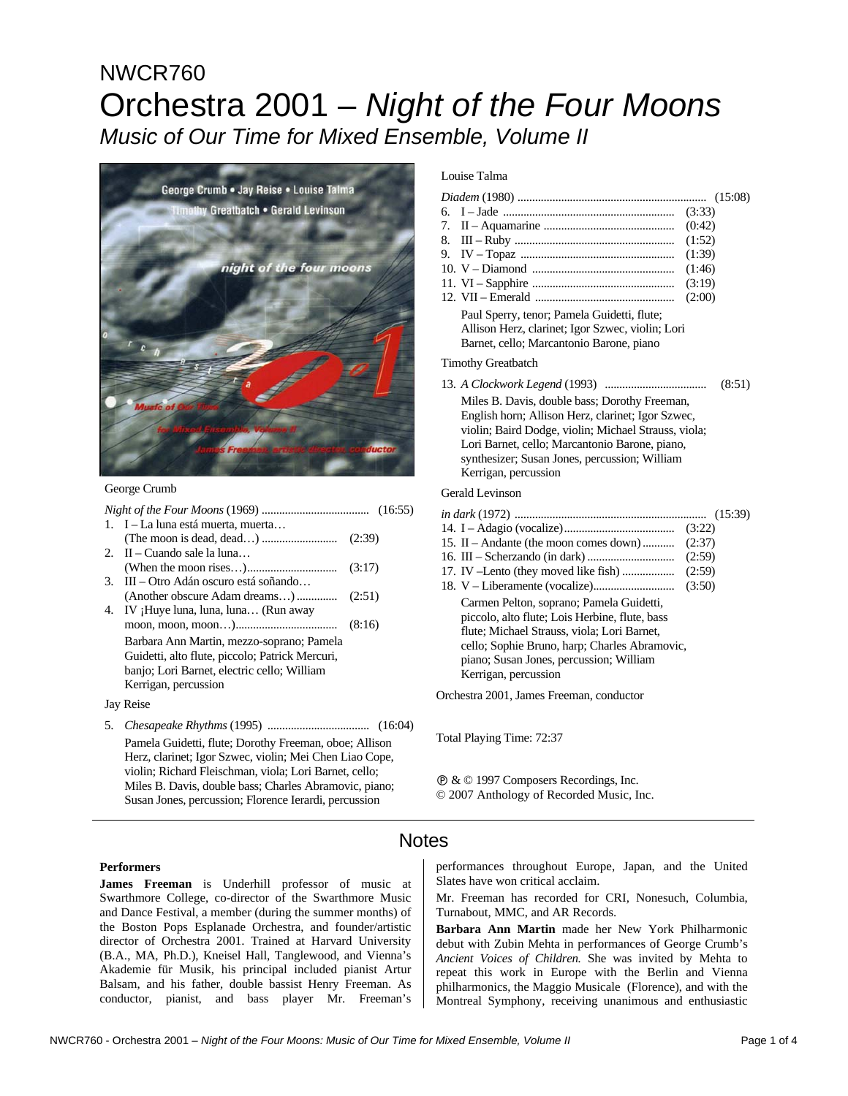# NWCR760 Orchestra 2001 – *Night of the Four Moons Music of Our Time for Mixed Ensemble, Volume II*



#### George Crumb

|    | 1. I – La luna está muerta, muerta                     |        |  |  |
|----|--------------------------------------------------------|--------|--|--|
|    |                                                        |        |  |  |
|    | 2. II – Cuando sale la luna                            |        |  |  |
|    |                                                        |        |  |  |
| 3. | III – Otro Adán oscuro está soñando                    |        |  |  |
|    | $(Another obscure Adam dreams)\dots(2:51)$             |        |  |  |
| 4. | IV; Huye luna, luna, luna (Run away                    |        |  |  |
|    |                                                        | (8:16) |  |  |
|    | Barbara Ann Martin, mezzo-soprano; Pamela              |        |  |  |
|    | Guidetti, alto flute, piccolo; Patrick Mercuri,        |        |  |  |
|    | banjo; Lori Barnet, electric cello; William            |        |  |  |
|    | Kerrigan, percussion                                   |        |  |  |
|    | Jay Reise                                              |        |  |  |
| 5. |                                                        |        |  |  |
|    | Pamela Guidetti, flute: Dorothy Freeman, oboe: Allison |        |  |  |

Pamela Guidetti, flute; Dorothy Freeman, oboe; Allison Herz, clarinet; Igor Szwec, violin; Mei Chen Liao Cope, violin; Richard Fleischman, viola; Lori Barnet, cello; Miles B. Davis, double bass; Charles Abramovic, piano; Susan Jones, percussion; Florence Ierardi, percussion

## Louise Talma

|                                                                                                                                             | (3:33) |
|---------------------------------------------------------------------------------------------------------------------------------------------|--------|
|                                                                                                                                             | (0:42) |
|                                                                                                                                             | (1:52) |
|                                                                                                                                             | (1:39) |
|                                                                                                                                             | (1:46) |
|                                                                                                                                             | (3:19) |
|                                                                                                                                             | (2:00) |
| Paul Sperry, tenor; Pamela Guidetti, flute;<br>Allison Herz, clarinet; Igor Szwec, violin; Lori<br>Barnet, cello; Marcantonio Barone, piano |        |

## Timothy Greatbatch

|                                                      | (8:51) |
|------------------------------------------------------|--------|
| Miles B. Davis, double bass; Dorothy Freeman,        |        |
| English horn; Allison Herz, clarinet; Igor Szwec,    |        |
| violin; Baird Dodge, violin; Michael Strauss, viola; |        |
| Lori Barnet, cello; Marcantonio Barone, piano,       |        |
| synthesizer; Susan Jones, percussion; William        |        |
| Kerrigan, percussion                                 |        |
|                                                      |        |

### Gerald Levinson

|                                                                                                                                                                                                                                                               | (3:22) |
|---------------------------------------------------------------------------------------------------------------------------------------------------------------------------------------------------------------------------------------------------------------|--------|
| 15. II – Andante (the moon comes down)                                                                                                                                                                                                                        | (2:37) |
|                                                                                                                                                                                                                                                               | (2:59) |
|                                                                                                                                                                                                                                                               | (2:59) |
|                                                                                                                                                                                                                                                               | (3:50) |
| Carmen Pelton, soprano; Pamela Guidetti,<br>piccolo, alto flute: Lois Herbine, flute, bass<br>flute; Michael Strauss, viola; Lori Barnet,<br>cello; Sophie Bruno, harp; Charles Abramovic,<br>piano; Susan Jones, percussion; William<br>Kerrigan, percussion |        |
|                                                                                                                                                                                                                                                               |        |

Orchestra 2001, James Freeman, conductor

Total Playing Time: 72:37

Ê & © 1997 Composers Recordings, Inc.

© 2007 Anthology of Recorded Music, Inc.

# Notes

#### **Performers**

**James Freeman** is Underhill professor of music at Swarthmore College, co-director of the Swarthmore Music and Dance Festival, a member (during the summer months) of the Boston Pops Esplanade Orchestra, and founder/artistic director of Orchestra 2001. Trained at Harvard University (B.A., MA, Ph.D.), Kneisel Hall, Tanglewood, and Vienna's Akademie für Musik, his principal included pianist Artur Balsam, and his father, double bassist Henry Freeman. As conductor, pianist, and bass player Mr. Freeman's

performances throughout Europe, Japan, and the United Slates have won critical acclaim.

Mr. Freeman has recorded for CRI, Nonesuch, Columbia, Turnabout, MMC, and AR Records.

**Barbara Ann Martin** made her New York Philharmonic debut with Zubin Mehta in performances of George Crumb's *Ancient Voices of Children.* She was invited by Mehta to repeat this work in Europe with the Berlin and Vienna philharmonics, the Maggio Musicale (Florence), and with the Montreal Symphony, receiving unanimous and enthusiastic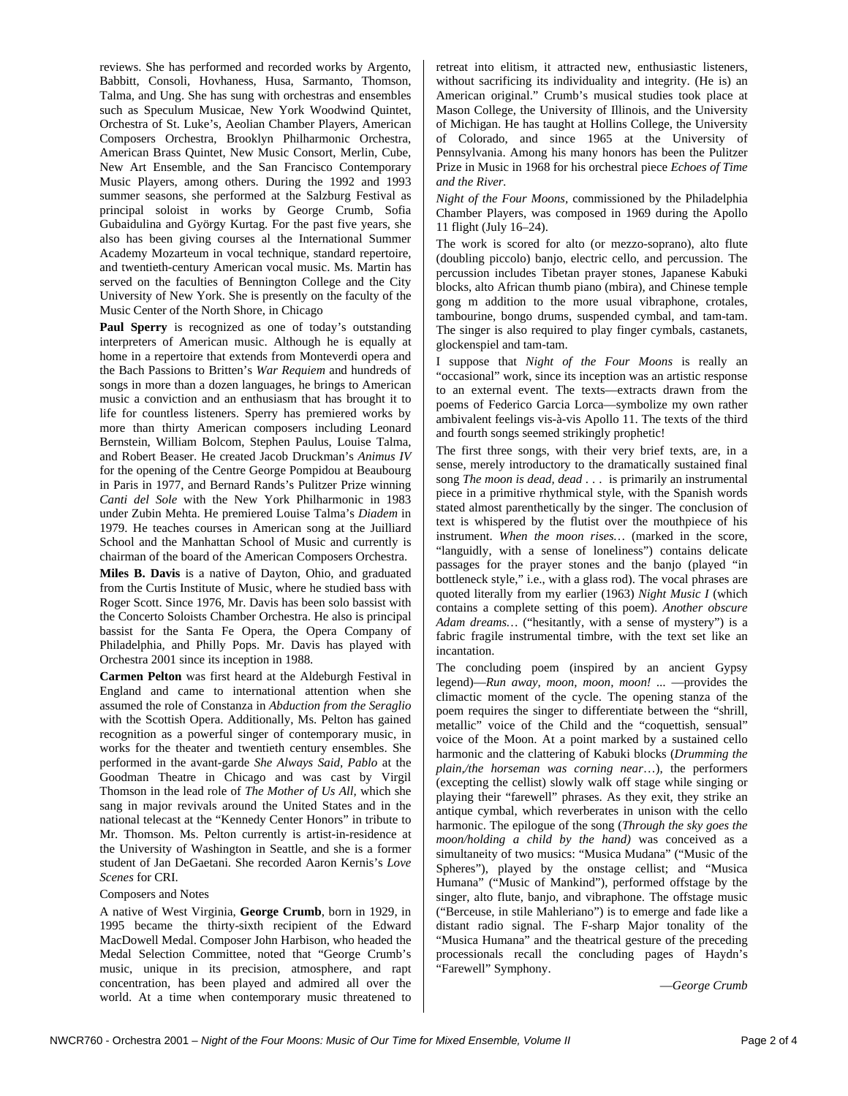reviews. She has performed and recorded works by Argento, Babbitt, Consoli, Hovhaness, Husa, Sarmanto, Thomson, Talma, and Ung. She has sung with orchestras and ensembles such as Speculum Musicae, New York Woodwind Quintet, Orchestra of St. Luke's, Aeolian Chamber Players, American Composers Orchestra, Brooklyn Philharmonic Orchestra, American Brass Quintet, New Music Consort, Merlin, Cube, New Art Ensemble, and the San Francisco Contemporary Music Players, among others. During the 1992 and 1993 summer seasons, she performed at the Salzburg Festival as principal soloist in works by George Crumb, Sofia Gubaidulina and György Kurtag. For the past five years, she also has been giving courses al the International Summer Academy Mozarteum in vocal technique, standard repertoire, and twentieth-century American vocal music. Ms. Martin has served on the faculties of Bennington College and the City University of New York. She is presently on the faculty of the Music Center of the North Shore, in Chicago

**Paul Sperry** is recognized as one of today's outstanding interpreters of American music. Although he is equally at home in a repertoire that extends from Monteverdi opera and the Bach Passions to Britten's *War Requiem* and hundreds of songs in more than a dozen languages, he brings to American music a conviction and an enthusiasm that has brought it to life for countless listeners. Sperry has premiered works by more than thirty American composers including Leonard Bernstein, William Bolcom, Stephen Paulus, Louise Talma, and Robert Beaser. He created Jacob Druckman's *Animus IV* for the opening of the Centre George Pompidou at Beaubourg in Paris in 1977, and Bernard Rands's Pulitzer Prize winning *Canti del Sole* with the New York Philharmonic in 1983 under Zubin Mehta. He premiered Louise Talma's *Diadem* in 1979. He teaches courses in American song at the Juilliard School and the Manhattan School of Music and currently is chairman of the board of the American Composers Orchestra.

**Miles B. Davis** is a native of Dayton, Ohio, and graduated from the Curtis Institute of Music, where he studied bass with Roger Scott. Since 1976, Mr. Davis has been solo bassist with the Concerto Soloists Chamber Orchestra. He also is principal bassist for the Santa Fe Opera, the Opera Company of Philadelphia, and Philly Pops. Mr. Davis has played with Orchestra 2001 since its inception in 1988.

**Carmen Pelton** was first heard at the Aldeburgh Festival in England and came to international attention when she assumed the role of Constanza in *Abduction from the Seraglio* with the Scottish Opera. Additionally, Ms. Pelton has gained recognition as a powerful singer of contemporary music, in works for the theater and twentieth century ensembles. She performed in the avant-garde *She Always Said, Pablo* at the Goodman Theatre in Chicago and was cast by Virgil Thomson in the lead role of *The Mother of Us All,* which she sang in major revivals around the United States and in the national telecast at the "Kennedy Center Honors" in tribute to Mr. Thomson. Ms. Pelton currently is artist-in-residence at the University of Washington in Seattle, and she is a former student of Jan DeGaetani. She recorded Aaron Kernis's *Love Scenes* for CRI.

#### Composers and Notes

A native of West Virginia, **George Crumb**, born in 1929, in 1995 became the thirty-sixth recipient of the Edward MacDowell Medal. Composer John Harbison, who headed the Medal Selection Committee, noted that "George Crumb's music, unique in its precision, atmosphere, and rapt concentration, has been played and admired all over the world. At a time when contemporary music threatened to retreat into elitism, it attracted new, enthusiastic listeners, without sacrificing its individuality and integrity. (He is) an American original." Crumb's musical studies took place at Mason College, the University of Illinois, and the University of Michigan. He has taught at Hollins College, the University of Colorado, and since 1965 at the University of Pennsylvania. Among his many honors has been the Pulitzer Prize in Music in 1968 for his orchestral piece *Echoes of Time and the River.* 

*Night of the Four Moons,* commissioned by the Philadelphia Chamber Players, was composed in 1969 during the Apollo 11 flight (July 16–24).

The work is scored for alto (or mezzo-soprano), alto flute (doubling piccolo) banjo, electric cello, and percussion. The percussion includes Tibetan prayer stones, Japanese Kabuki blocks, alto African thumb piano (mbira), and Chinese temple gong m addition to the more usual vibraphone, crotales, tambourine, bongo drums, suspended cymbal, and tam-tam. The singer is also required to play finger cymbals, castanets, glockenspiel and tam-tam.

I suppose that *Night of the Four Moons* is really an "occasional" work, since its inception was an artistic response to an external event. The texts—extracts drawn from the poems of Federico Garcia Lorca—symbolize my own rather ambivalent feelings vis-à-vis Apollo 11. The texts of the third and fourth songs seemed strikingly prophetic!

The first three songs, with their very brief texts, are, in a sense, merely introductory to the dramatically sustained final song *The moon is dead, dead* . . . is primarily an instrumental piece in a primitive rhythmical style, with the Spanish words stated almost parenthetically by the singer. The conclusion of text is whispered by the flutist over the mouthpiece of his instrument. *When the moon rises…* (marked in the score, "languidly, with a sense of loneliness") contains delicate passages for the prayer stones and the banjo (played "in bottleneck style," i.e., with a glass rod). The vocal phrases are quoted literally from my earlier (1963) *Night Music I* (which contains a complete setting of this poem). *Another obscure Adam dreams…* ("hesitantly, with a sense of mystery") is a fabric fragile instrumental timbre, with the text set like an incantation.

The concluding poem (inspired by an ancient Gypsy legend)—*Run away, moon, moon, moon! ...* —provides the climactic moment of the cycle. The opening stanza of the poem requires the singer to differentiate between the "shrill, metallic" voice of the Child and the "coquettish, sensual" voice of the Moon. At a point marked by a sustained cello harmonic and the clattering of Kabuki blocks (*Drumming the plain,/the horseman was corning near*…), the performers (excepting the cellist) slowly walk off stage while singing or playing their "farewell" phrases. As they exit, they strike an antique cymbal, which reverberates in unison with the cello harmonic. The epilogue of the song (*Through the sky goes the moon/holding a child by the hand)* was conceived as a simultaneity of two musics: "Musica Mudana" ("Music of the Spheres"), played by the onstage cellist; and "Musica Humana" ("Music of Mankind"), performed offstage by the singer, alto flute, banjo, and vibraphone. The offstage music ("Berceuse, in stile Mahleriano") is to emerge and fade like a distant radio signal. The F-sharp Major tonality of the "Musica Humana" and the theatrical gesture of the preceding processionals recall the concluding pages of Haydn's "Farewell" Symphony.

—*George Crumb*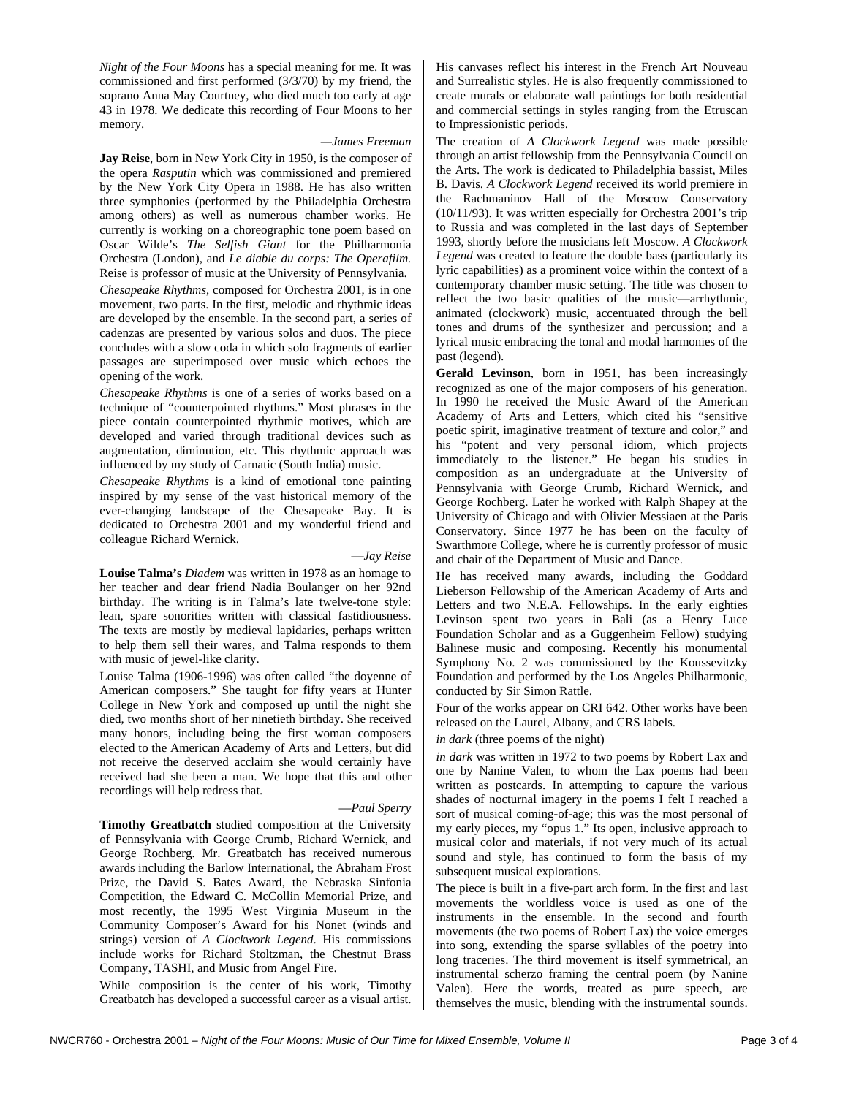*Night of the Four Moons* has a special meaning for me. It was commissioned and first performed (3/3/70) by my friend, the soprano Anna May Courtney, who died much too early at age 43 in 1978. We dedicate this recording of Four Moons to her memory.

#### *—James Freeman*

**Jay Reise**, born in New York City in 1950, is the composer of the opera *Rasputin* which was commissioned and premiered by the New York City Opera in 1988. He has also written three symphonies (performed by the Philadelphia Orchestra among others) as well as numerous chamber works. He currently is working on a choreographic tone poem based on Oscar Wilde's *The Selfish Giant* for the Philharmonia Orchestra (London), and *Le diable du corps: The Operafilm.*  Reise is professor of music at the University of Pennsylvania.

*Chesapeake Rhythms*, composed for Orchestra 2001, is in one movement, two parts. In the first, melodic and rhythmic ideas are developed by the ensemble. In the second part, a series of cadenzas are presented by various solos and duos. The piece concludes with a slow coda in which solo fragments of earlier passages are superimposed over music which echoes the opening of the work.

*Chesapeake Rhythms* is one of a series of works based on a technique of "counterpointed rhythms." Most phrases in the piece contain counterpointed rhythmic motives, which are developed and varied through traditional devices such as augmentation, diminution, etc. This rhythmic approach was influenced by my study of Carnatic (South India) music.

*Chesapeake Rhythms* is a kind of emotional tone painting inspired by my sense of the vast historical memory of the ever-changing landscape of the Chesapeake Bay. It is dedicated to Orchestra 2001 and my wonderful friend and colleague Richard Wernick.

#### —*Jay Reise*

**Louise Talma's** *Diadem* was written in 1978 as an homage to her teacher and dear friend Nadia Boulanger on her 92nd birthday. The writing is in Talma's late twelve-tone style: lean, spare sonorities written with classical fastidiousness. The texts are mostly by medieval lapidaries, perhaps written to help them sell their wares, and Talma responds to them with music of jewel-like clarity.

Louise Talma (1906-1996) was often called "the doyenne of American composers." She taught for fifty years at Hunter College in New York and composed up until the night she died, two months short of her ninetieth birthday. She received many honors, including being the first woman composers elected to the American Academy of Arts and Letters, but did not receive the deserved acclaim she would certainly have received had she been a man. We hope that this and other recordings will help redress that.

#### —*Paul Sperry*

**Timothy Greatbatch** studied composition at the University of Pennsylvania with George Crumb, Richard Wernick, and George Rochberg. Mr. Greatbatch has received numerous awards including the Barlow International, the Abraham Frost Prize, the David S. Bates Award, the Nebraska Sinfonia Competition, the Edward C. McCollin Memorial Prize, and most recently, the 1995 West Virginia Museum in the Community Composer's Award for his Nonet (winds and strings) version of *A Clockwork Legend*. His commissions include works for Richard Stoltzman, the Chestnut Brass Company, TASHI, and Music from Angel Fire.

While composition is the center of his work, Timothy Greatbatch has developed a successful career as a visual artist. His canvases reflect his interest in the French Art Nouveau and Surrealistic styles. He is also frequently commissioned to create murals or elaborate wall paintings for both residential and commercial settings in styles ranging from the Etruscan to Impressionistic periods.

The creation of *A Clockwork Legend* was made possible through an artist fellowship from the Pennsylvania Council on the Arts. The work is dedicated to Philadelphia bassist, Miles B. Davis. *A Clockwork Legend* received its world premiere in the Rachmaninov Hall of the Moscow Conservatory (10/11/93). It was written especially for Orchestra 2001's trip to Russia and was completed in the last days of September 1993, shortly before the musicians left Moscow. *A Clockwork Legend* was created to feature the double bass (particularly its lyric capabilities) as a prominent voice within the context of a contemporary chamber music setting. The title was chosen to reflect the two basic qualities of the music—arrhythmic, animated (clockwork) music, accentuated through the bell tones and drums of the synthesizer and percussion; and a lyrical music embracing the tonal and modal harmonies of the past (legend).

**Gerald Levinson**, born in 1951, has been increasingly recognized as one of the major composers of his generation. In 1990 he received the Music Award of the American Academy of Arts and Letters, which cited his "sensitive poetic spirit, imaginative treatment of texture and color," and his "potent and very personal idiom, which projects immediately to the listener." He began his studies in composition as an undergraduate at the University of Pennsylvania with George Crumb, Richard Wernick, and George Rochberg. Later he worked with Ralph Shapey at the University of Chicago and with Olivier Messiaen at the Paris Conservatory. Since 1977 he has been on the faculty of Swarthmore College, where he is currently professor of music and chair of the Department of Music and Dance.

He has received many awards, including the Goddard Lieberson Fellowship of the American Academy of Arts and Letters and two N.E.A. Fellowships. In the early eighties Levinson spent two years in Bali (as a Henry Luce Foundation Scholar and as a Guggenheim Fellow) studying Balinese music and composing. Recently his monumental Symphony No. 2 was commissioned by the Koussevitzky Foundation and performed by the Los Angeles Philharmonic, conducted by Sir Simon Rattle.

Four of the works appear on CRI 642. Other works have been released on the Laurel, Albany, and CRS labels.

#### *in dark* (three poems of the night)

*in dark* was written in 1972 to two poems by Robert Lax and one by Nanine Valen, to whom the Lax poems had been written as postcards. In attempting to capture the various shades of nocturnal imagery in the poems I felt I reached a sort of musical coming-of-age; this was the most personal of my early pieces, my "opus 1." Its open, inclusive approach to musical color and materials, if not very much of its actual sound and style, has continued to form the basis of my subsequent musical explorations.

The piece is built in a five-part arch form. In the first and last movements the worldless voice is used as one of the instruments in the ensemble. In the second and fourth movements (the two poems of Robert Lax) the voice emerges into song, extending the sparse syllables of the poetry into long traceries. The third movement is itself symmetrical, an instrumental scherzo framing the central poem (by Nanine Valen). Here the words, treated as pure speech, are themselves the music, blending with the instrumental sounds.